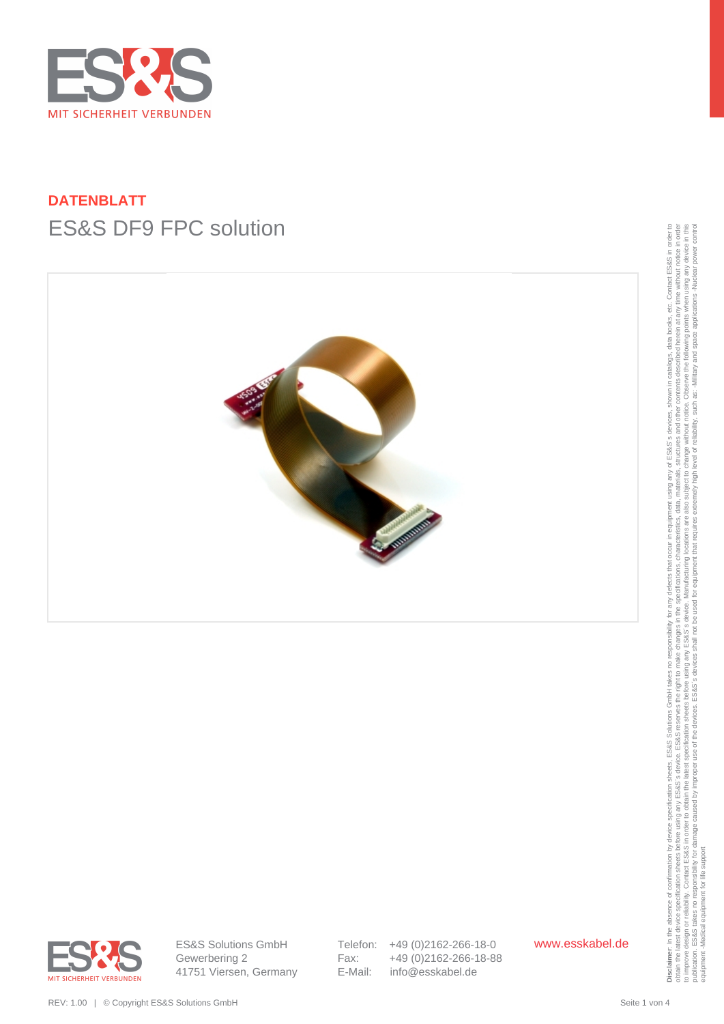

# **DATENBLATT** ES&S DF9 FPC solution





ES&S Solutions GmbH Gewerbering 2 41751 Viersen, Germany Telefon: +49 (0)2162-266-18-0 Fax: +49 (0)2162-266-18-88 E-Mail: info@esskabel.de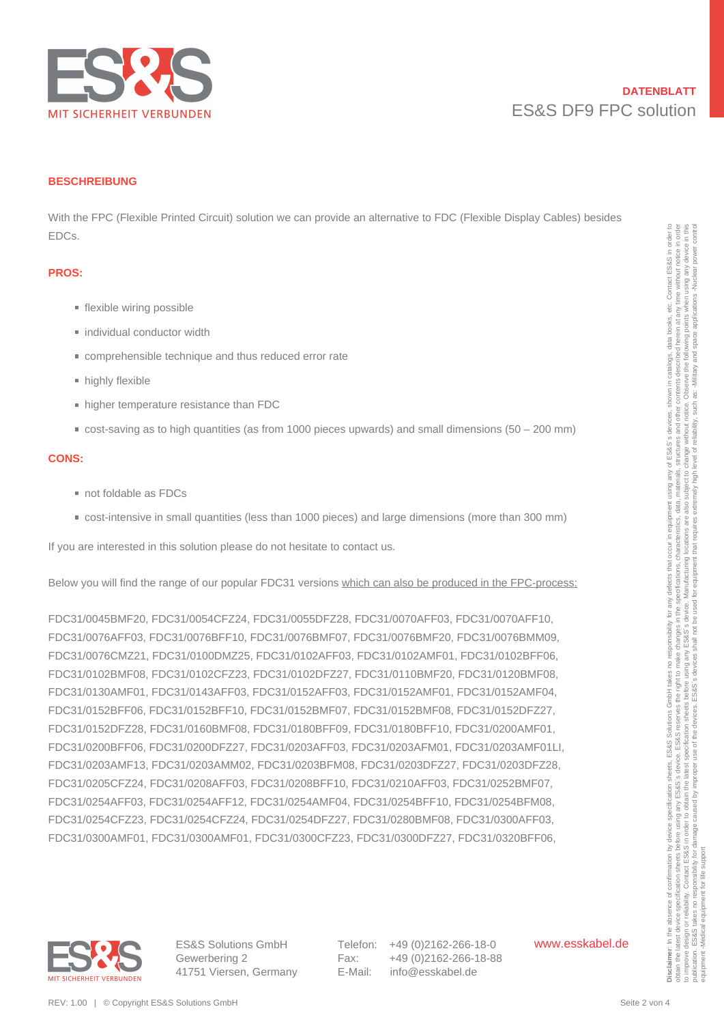

#### **BESCHREIBUNG**

With the FPC (Flexible Printed Circuit) solution we can provide an alternative to FDC (Flexible Display Cables) besides EDCs.

#### **PROS:**

- **flexible wiring possible**
- individual conductor width
- comprehensible technique and thus reduced error rate
- **highly flexible**
- higher temperature resistance than FDC
- cost-saving as to high quantities (as from 1000 pieces upwards) and small dimensions (50 200 mm)

#### **CONS:**

- not foldable as FDCs
- cost-intensive in small quantities (less than 1000 pieces) and large dimensions (more than 300 mm)

If you are interested in this solution please do not hesitate to contact us.

Below you will find the range of our popular FDC31 versions which can also be produced in the FPC-process:

FDC31/0045BMF20, FDC31/0054CFZ24, FDC31/0055DFZ28, FDC31/0070AFF03, FDC31/0070AFF10, FDC31/0076AFF03, FDC31/0076BFF10, FDC31/0076BMF07, FDC31/0076BMF20, FDC31/0076BMM09, FDC31/0076CMZ21, FDC31/0100DMZ25, FDC31/0102AFF03, FDC31/0102AMF01, FDC31/0102BFF06, FDC31/0102BMF08, FDC31/0102CFZ23, FDC31/0102DFZ27, FDC31/0110BMF20, FDC31/0120BMF08, FDC31/0130AMF01, FDC31/0143AFF03, FDC31/0152AFF03, FDC31/0152AMF01, FDC31/0152AMF04, FDC31/0152BFF06, FDC31/0152BFF10, FDC31/0152BMF07, FDC31/0152BMF08, FDC31/0152DFZ27, FDC31/0152DFZ28, FDC31/0160BMF08, FDC31/0180BFF09, FDC31/0180BFF10, FDC31/0200AMF01, FDC31/0200BFF06, FDC31/0200DFZ27, FDC31/0203AFF03, FDC31/0203AFM01, FDC31/0203AMF01LI, FDC31/0203AMF13, FDC31/0203AMM02, FDC31/0203BFM08, FDC31/0203DFZ27, FDC31/0203DFZ28, FDC31/0205CFZ24, FDC31/0208AFF03, FDC31/0208BFF10, FDC31/0210AFF03, FDC31/0252BMF07, FDC31/0254AFF03, FDC31/0254AFF12, FDC31/0254AMF04, FDC31/0254BFF10, FDC31/0254BFM08, FDC31/0254CFZ23, FDC31/0254CFZ24, FDC31/0254DFZ27, FDC31/0280BMF08, FDC31/0300AFF03, FDC31/0300AMF01, FDC31/0300AMF01, FDC31/0300CFZ23, FDC31/0300DFZ27, FDC31/0320BFF06, EDCs.<br>
• Foodble Miring possible<br>
• Includial consister with<br>
• Includial consister with<br>
• Includial consister with<br>
• Includial consister with the result of the results entropy and the results and small dimensions (50 –



ES&S Solutions GmbH Gewerbering 2 41751 Viersen, Germany Telefon: +49 (0)2162-266-18-0 Fax: +49 (0)2162-266-18-88 E-Mail: info@esskabel.de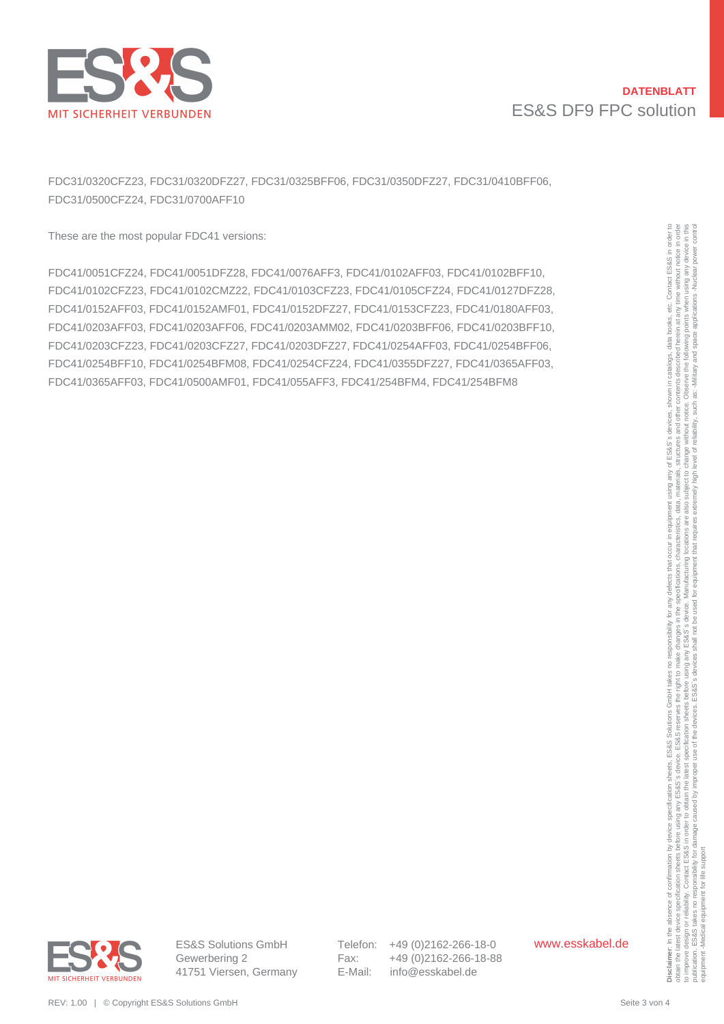

## **DATENBLATT** ES&S DF9 FPC solution

FDC31/0320CFZ23, FDC31/0320DFZ27, FDC31/0325BFF06, FDC31/0350DFZ27, FDC31/0410BFF06, FDC31/0500CFZ24, FDC31/0700AFF10

These are the most popular FDC41 versions:

FDC41/0051CFZ24, FDC41/0051DFZ28, FDC41/0076AFF3, FDC41/0102AFF03, FDC41/0102BFF10, FDC41/0102CFZ23, FDC41/0102CMZ22, FDC41/0103CFZ23, FDC41/0105CFZ24, FDC41/0127DFZ28, FDC41/0152AFF03, FDC41/0152AMF01, FDC41/0152DFZ27, FDC41/0153CFZ23, FDC41/0180AFF03, FDC41/0203AFF03, FDC41/0203AFF06, FDC41/0203AMM02, FDC41/0203BFF06, FDC41/0203BFF10, FDC41/0203CFZ23, FDC41/0203CFZ27, FDC41/0203DFZ27, FDC41/0254AFF03, FDC41/0254BFF06, FDC41/0254BFF10, FDC41/0254BFM08, FDC41/0254CFZ24, FDC41/0355DFZ27, FDC41/0365AFF03, FDC41/0365AFF03, FDC41/0500AMF01, FDC41/055AFF3, FDC41/254BFM4, FDC41/254BFM8 These are the most could FTCC11 versions:<br>
EDC41003107224, EDC410010024722, EDC41001004722, EDC4101010474Fits, EDC410101274Fits,<br>
EDC410101267223, EDC410102647227, EDC41010027227, EDC4101012722, EDC41010127223,<br>
EDC410102

obtain the latest device specification sheets before using any ES&S's reserves the right to make changes in the specifications, characteristics, data, materials, structures and other contents described herein at any time w to improve design or reliability. Contact ESS&S in order to obtain the latest specification sheets before using any arge before using any arges before using any arges before the Sales is device. Manufacturing locations, th publication. ES&S takes no responsibility for damage caused by improper use of the devices. ES&S's devices shall not be used for equipment that requires extremely high level of reliability, such as: Alliliary and space app to improve design or reilebility. Contact ES&S in order to survey survey as the improve design or reilebility. Contact ES&S in order to substitute publication. ES&S takes no responsibility for damage caused by improper<br>pub equipment -Medical equipment for life support



Telefon: +49 (0)2162-266-18-0 Fax: +49 (0)2162-266-18-88 E-Mail: info@esskabel.de